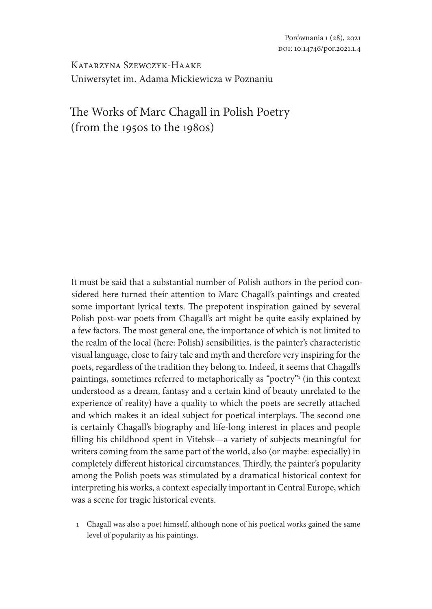Katarzyna Szewczyk-Haake Uniwersytet im. Adama Mickiewicza w Poznaniu

# The Works of Marc Chagall in Polish Poetry (from the 1950s to the 1980s)

It must be said that a substantial number of Polish authors in the period considered here turned their attention to Marc Chagall's paintings and created some important lyrical texts. The prepotent inspiration gained by several Polish post-war poets from Chagall's art might be quite easily explained by a few factors. The most general one, the importance of which is not limited to the realm of the local (here: Polish) sensibilities, is the painter's characteristic visual language, close to fairy tale and myth and therefore very inspiring for the poets, regardless of the tradition they belong to. Indeed, it seems that Chagall's paintings, sometimes referred to metaphorically as "poetry"<sup>,</sup> (in this context understood as a dream, fantasy and a certain kind of beauty unrelated to the experience of reality) have a quality to which the poets are secretly attached and which makes it an ideal subject for poetical interplays. The second one is certainly Chagall's biography and life-long interest in places and people filling his childhood spent in Vitebsk—a variety of subjects meaningful for writers coming from the same part of the world, also (or maybe: especially) in completely different historical circumstances. Thirdly, the painter's popularity among the Polish poets was stimulated by a dramatical historical context for interpreting his works, a context especially important in Central Europe, which was a scene for tragic historical events.

1 Chagall was also a poet himself, although none of his poetical works gained the same level of popularity as his paintings.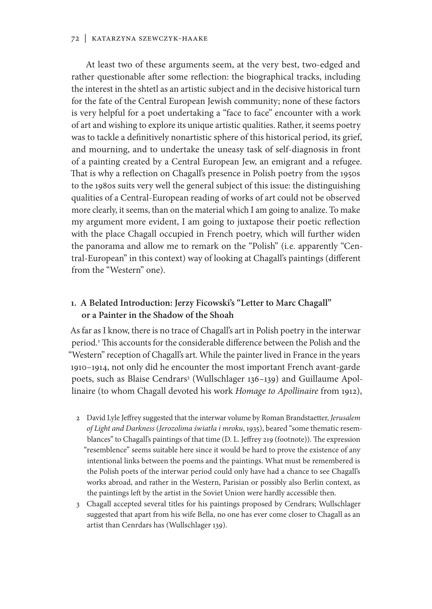#### 72 | Katarzyna Szewczyk-Haake

At least two of these arguments seem, at the very best, two-edged and rather questionable after some reflection: the biographical tracks, including the interest in the shtetl as an artistic subject and in the decisive historical turn for the fate of the Central European Jewish community; none of these factors is very helpful for a poet undertaking a "face to face" encounter with a work of art and wishing to explore its unique artistic qualities. Rather, it seems poetry was to tackle a definitively nonartistic sphere of this historical period, its grief, and mourning, and to undertake the uneasy task of self-diagnosis in front of a painting created by a Central European Jew, an emigrant and a refugee. That is why a reflection on Chagall's presence in Polish poetry from the 1950s to the 1980s suits very well the general subject of this issue: the distinguishing qualities of a Central-European reading of works of art could not be observed more clearly, it seems, than on the material which I am going to analize. To make my argument more evident, I am going to juxtapose their poetic reflection with the place Chagall occupied in French poetry, which will further widen the panorama and allow me to remark on the "Polish" (i.e. apparently "Central-European" in this context) way of looking at Chagall's paintings (different from the "Western" one).

### **1. A Belated Introduction: Jerzy Ficowski's "Letter to Marc Chagall" or a Painter in the Shadow of the Shoah**

As far as I know, there is no trace of Chagall's art in Polish poetry in the interwar period.<sup>2</sup> This accounts for the considerable difference between the Polish and the "Western" reception of Chagall's art. While the painter lived in France in the years 1910–1914, not only did he encounter the most important French avant-garde poets, such as Blaise Cendrars<sup>3</sup> (Wullschlager 136-139) and Guillaume Apollinaire (to whom Chagall devoted his work *Homage to Apollinaire* from 1912),

- 2 David Lyle Jeffrey suggested that the interwar volume by Roman Brandstaetter, *Jerusalem of Light and Darkness* (*Jerozolima światła i mroku*, 1935), beared "some thematic resemblances" to Chagall's paintings of that time (D. L. Jeffrey 219 (footnote)). The expression "resemblence" seems suitable here since it would be hard to prove the existence of any intentional links between the poems and the paintings. What must be remembered is the Polish poets of the interwar period could only have had a chance to see Chagall's works abroad, and rather in the Western, Parisian or possibly also Berlin context, as the paintings left by the artist in the Soviet Union were hardly accessible then.
- 3 Chagall accepted several titles for his paintings proposed by Cendrars; Wullschlager suggested that apart from his wife Bella, no one has ever come closer to Chagall as an artist than Cenrdars has (Wullschlager 139).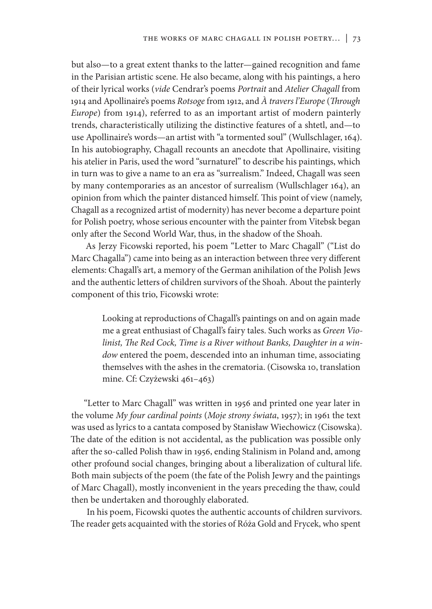but also—to a great extent thanks to the latter—gained recognition and fame in the Parisian artistic scene. He also became, along with his paintings, a hero of their lyrical works (*vide* Cendrar's poems *Portrait* and *Atelier Chagall* from 1914 and Apollinaire's poems *Rotsoge* from 1912, and *À travers l'Europe* (*Through Europe*) from 1914), referred to as an important artist of modern painterly trends, characteristically utilizing the distinctive features of a shtetl, and—to use Apollinaire's words—an artist with "a tormented soul" (Wullschlager, 164). In his autobiography, Chagall recounts an anecdote that Apollinaire, visiting his atelier in Paris, used the word "surnaturel" to describe his paintings, which in turn was to give a name to an era as "surrealism." Indeed, Chagall was seen by many contemporaries as an ancestor of surrealism (Wullschlager 164), an opinion from which the painter distanced himself. This point of view (namely, Chagall as a recognized artist of modernity) has never become a departure point for Polish poetry, whose serious encounter with the painter from Vitebsk began only after the Second World War, thus, in the shadow of the Shoah.

As Jerzy Ficowski reported, his poem "Letter to Marc Chagall" ("List do Marc Chagalla") came into being as an interaction between three very different elements: Chagall's art, a memory of the German anihilation of the Polish Jews and the authentic letters of children survivors of the Shoah. About the painterly component of this trio, Ficowski wrote:

> Looking at reproductions of Chagall's paintings on and on again made me a great enthusiast of Chagall's fairy tales. Such works as *Green Violinist, The Red Cock, Time is a River without Banks, Daughter in a window* entered the poem, descended into an inhuman time, associating themselves with the ashes in the crematoria. (Cisowska 10, translation mine. Cf: Czyżewski 461–463)

"Letter to Marc Chagall" was written in 1956 and printed one year later in the volume *My four cardinal points* (*Moje strony świata*, 1957); in 1961 the text was used as lyrics to a cantata composed by Stanisław Wiechowicz (Cisowska). The date of the edition is not accidental, as the publication was possible only after the so-called Polish thaw in 1956, ending Stalinism in Poland and, among other profound social changes, bringing about a liberalization of cultural life. Both main subjects of the poem (the fate of the Polish Jewry and the paintings of Marc Chagall), mostly inconvenient in the years preceding the thaw, could then be undertaken and thoroughly elaborated.

In his poem, Ficowski quotes the authentic accounts of children survivors. The reader gets acquainted with the stories of Róża Gold and Frycek, who spent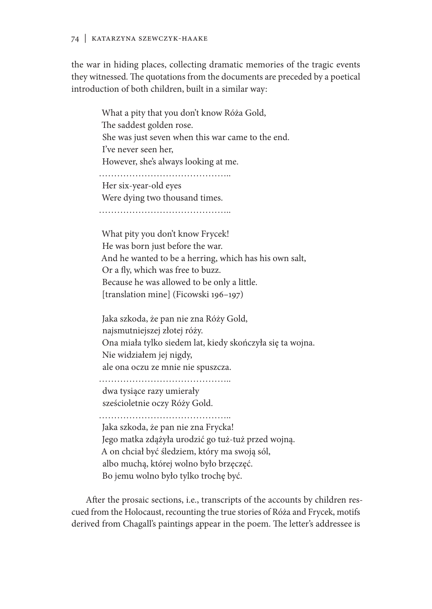#### 74 | Katarzyna Szewczyk-Haake

the war in hiding places, collecting dramatic memories of the tragic events they witnessed. The quotations from the documents are preceded by a poetical introduction of both children, built in a similar way:

What a pity that you don't know Róża Gold, The saddest golden rose. She was just seven when this war came to the end. I've never seen her, However, she's always looking at me. …………………………………….. Her six-year-old eyes Were dying two thousand times. ……………………………………………… What pity you don't know Frycek! He was born just before the war.

And he wanted to be a herring, which has his own salt, Or a fly, which was free to buzz. Because he was allowed to be only a little. [translation mine] (Ficowski 196–197)

Jaka szkoda, że pan nie zna Róży Gold, najsmutniejszej złotej róży. Ona miała tylko siedem lat, kiedy skończyła się ta wojna. Nie widziałem jej nigdy, ale ona oczu ze mnie nie spuszcza.

…………………………………….. dwa tysiące razy umierały sześcioletnie oczy Róży Gold.

……………………………………………

Jaka szkoda, że pan nie zna Frycka! Jego matka zdążyła urodzić go tuż-tuż przed wojną. A on chciał być śledziem, który ma swoją sól, albo muchą, której wolno było brzęczęć. Bo jemu wolno było tylko trochę być.

After the prosaic sections, i.e., transcripts of the accounts by children rescued from the Holocaust, recounting the true stories of Róża and Frycek, motifs derived from Chagall's paintings appear in the poem. The letter's addressee is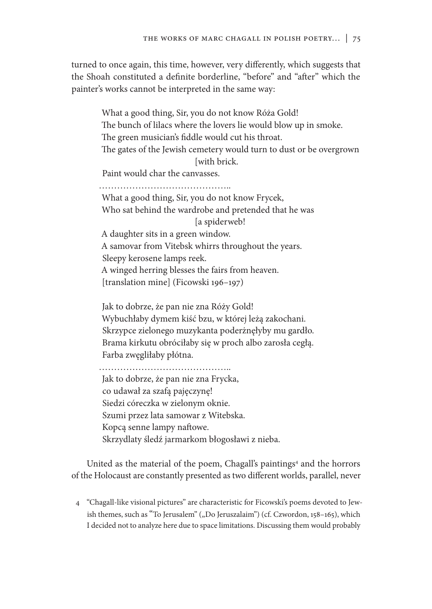turned to once again, this time, however, very differently, which suggests that the Shoah constituted a definite borderline, "before" and "after" which the painter's works cannot be interpreted in the same way:

What a good thing, Sir, you do not know Róża Gold! The bunch of lilacs where the lovers lie would blow up in smoke. The green musician's fiddle would cut his throat. The gates of the Jewish cemetery would turn to dust or be overgrown [with brick.] Paint would char the canvasses. …………………………………….. What a good thing, Sir, you do not know Frycek, Who sat behind the wardrobe and pretended that he was [a spiderweb! A daughter sits in a green window. A samovar from Vitebsk whirrs throughout the years. Sleepy kerosene lamps reek. A winged herring blesses the fairs from heaven.

[translation mine] (Ficowski 196–197)

Jak to dobrze, że pan nie zna Róży Gold! Wybuchłaby dymem kiść bzu, w której leżą zakochani. Skrzypce zielonego muzykanta poderżnęłyby mu gardło. Brama kirkutu obróciłaby się w proch albo zarosła cegłą. Farba zwęgliłaby płótna.

……………………………………………

Jak to dobrze, że pan nie zna Frycka, co udawał za szafą pajęczynę! Siedzi córeczka w zielonym oknie. Szumi przez lata samowar z Witebska. Kopcą senne lampy naftowe. Skrzydlaty śledź jarmarkom błogosławi z nieba.

United as the material of the poem, Chagall's paintings<sup>4</sup> and the horrors of the Holocaust are constantly presented as two different worlds, parallel, never

4 "Chagall-like visional pictures" are characteristic for Ficowski's poems devoted to Jewish themes, such as "To Jerusalem" ("Do Jeruszalaim") (cf. Czwordon, 158-165), which I decided not to analyze here due to space limitations. Discussing them would probably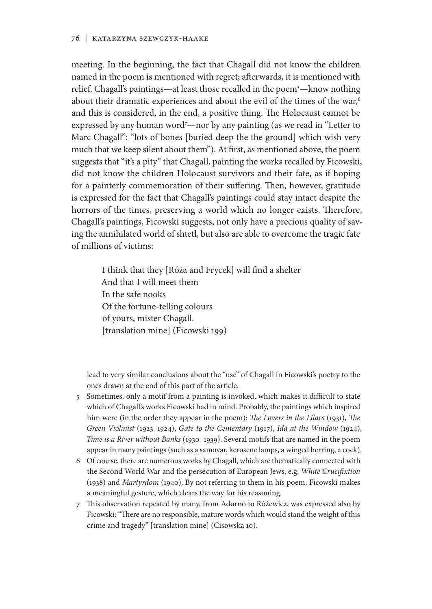meeting. In the beginning, the fact that Chagall did not know the children named in the poem is mentioned with regret; afterwards, it is mentioned with relief. Chagall's paintings—at least those recalled in the poem5—know nothing about their dramatic experiences and about the evil of the times of the war,<sup>6</sup> and this is considered, in the end, a positive thing. The Holocaust cannot be expressed by any human word<sup>7</sup>—nor by any painting (as we read in "Letter to Marc Chagall": "lots of bones [buried deep the the ground] which wish very much that we keep silent about them"). At first, as mentioned above, the poem suggests that "it's a pity" that Chagall, painting the works recalled by Ficowski, did not know the children Holocaust survivors and their fate, as if hoping for a painterly commemoration of their suffering. Then, however, gratitude is expressed for the fact that Chagall's paintings could stay intact despite the horrors of the times, preserving a world which no longer exists. Therefore, Chagall's paintings, Ficowski suggests, not only have a precious quality of saving the annihilated world of shtetl, but also are able to overcome the tragic fate of millions of victims:

> I think that they [Róża and Frycek] will find a shelter And that I will meet them In the safe nooks Of the fortune-telling colours of yours, mister Chagall. [translation mine] (Ficowski 199)

lead to very similar conclusions about the "use" of Chagall in Ficowski's poetry to the ones drawn at the end of this part of the article.

- 5 Sometimes, only a motif from a painting is invoked, which makes it difficult to state which of Chagall's works Ficowski had in mind. Probably, the paintings which inspired him were (in the order they appear in the poem): *The Lovers in the Lilacs* (1931), *The Green Violinist* (1923–1924), *Gate to the Cementary* (1917), *Ida at the Window* (1924), *Time is a River without Banks* (1930–1939). Several motifs that are named in the poem appear in many paintings (such as a samovar, kerosene lamps, a winged herring, a cock).
- 6 Of course, there are numerous works by Chagall, which are thematically connected with the Second World War and the persecution of European Jews, e.g. *White Crucifixtion*  (1938) and *Martyrdom* (1940). By not referring to them in his poem, Ficowski makes a meaningful gesture, which clears the way for his reasoning.
- 7 This observation repeated by many, from Adorno to Różewicz, was expressed also by Ficowski: "There are no responsible, mature words which would stand the weight of this crime and tragedy" [translation mine] (Cisowska 10).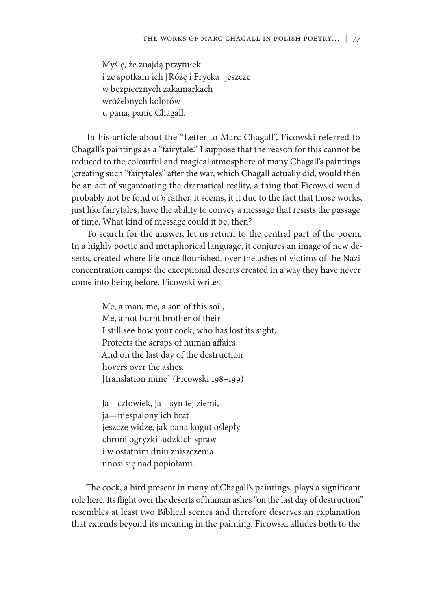Myślę, że znajdą przytułek i że spotkam ich [Różę i Frycka] jeszcze w bezpiecznych zakamarkach wróżebnych kolorów u pana, panie Chagall.

In his article about the "Letter to Marc Chagall", Ficowski referred to Chagall's paintings as a "fairytale." I suppose that the reason for this cannot be reduced to the colourful and magical atmosphere of many Chagall's paintings (creating such "fairytales" after the war, which Chagall actually did, would then be an act of sugarcoating the dramatical reality, a thing that Ficowski would probably not be fond of); rather, it seems, it it due to the fact that those works, just like fairytales, have the ability to convey a message that resists the passage of time. What kind of message could it be, then?

To search for the answer, let us return to the central part of the poem. In a highly poetic and metaphorical language, it conjures an image of new deserts, created where life once flourished, over the ashes of victims of the Nazi concentration camps: the exceptional deserts created in a way they have never come into being before. Ficowski writes:

> Me, a man, me, a son of this soil, Me, a not burnt brother of their I still see how your cock, who has lost its sight, Protects the scraps of human affairs And on the last day of the destruction hovers over the ashes. [translation mine] (Ficowski 198–199)

Ja—człowiek, ja—syn tej ziemi, ja—niespalony ich brat jeszcze widzę, jak pana kogut oślepły chroni ogryzki ludzkich spraw i w ostatnim dniu zniszczenia unosi się nad popiołami.

The cock, a bird present in many of Chagall's paintings, plays a significant role here. Its flight over the deserts of human ashes "on the last day of destruction" resembles at least two Biblical scenes and therefore deserves an explanation that extends beyond its meaning in the painting. Ficowski alludes both to the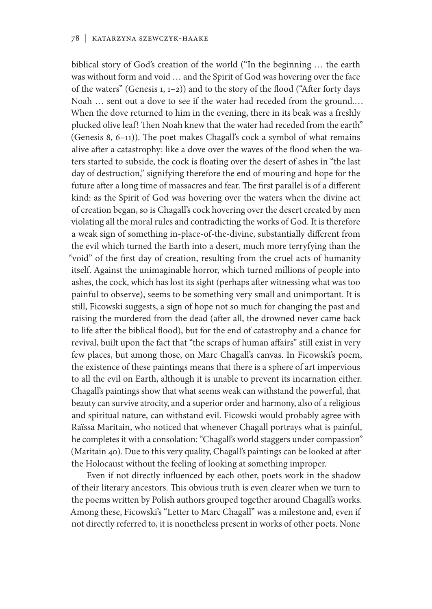biblical story of God's creation of the world ("In the beginning … the earth was without form and void … and the Spirit of God was hovering over the face of the waters" (Genesis 1, 1–2)) and to the story of the flood ("After forty days Noah … sent out a dove to see if the water had receded from the ground.… When the dove returned to him in the evening, there in its beak was a freshly plucked olive leaf! Then Noah knew that the water had receded from the earth" (Genesis 8, 6–11)). The poet makes Chagall's cock a symbol of what remains alive after a catastrophy: like a dove over the waves of the flood when the waters started to subside, the cock is floating over the desert of ashes in "the last day of destruction," signifying therefore the end of mouring and hope for the future after a long time of massacres and fear. The first parallel is of a different kind: as the Spirit of God was hovering over the waters when the divine act of creation began, so is Chagall's cock hovering over the desert created by men violating all the moral rules and contradicting the works of God. It is therefore a weak sign of something in-place-of-the-divine, substantially different from the evil which turned the Earth into a desert, much more terryfying than the "void" of the first day of creation, resulting from the cruel acts of humanity itself. Against the unimaginable horror, which turned millions of people into ashes, the cock, which has lost its sight (perhaps after witnessing what was too painful to observe), seems to be something very small and unimportant. It is still, Ficowski suggests, a sign of hope not so much for changing the past and raising the murdered from the dead (after all, the drowned never came back to life after the biblical flood), but for the end of catastrophy and a chance for revival, built upon the fact that "the scraps of human affairs" still exist in very few places, but among those, on Marc Chagall's canvas. In Ficowski's poem, the existence of these paintings means that there is a sphere of art impervious to all the evil on Earth, although it is unable to prevent its incarnation either. Chagall's paintings show that what seems weak can withstand the powerful, that beauty can survive atrocity, and a superior order and harmony, also of a religious and spiritual nature, can withstand evil. Ficowski would probably agree with Raïssa Maritain, who noticed that whenever Chagall portrays what is painful, he completes it with a consolation: "Chagall's world staggers under compassion" (Maritain 40). Due to this very quality, Chagall's paintings can be looked at after the Holocaust without the feeling of looking at something improper.

Even if not directly influenced by each other, poets work in the shadow of their literary ancestors. This obvious truth is even clearer when we turn to the poems written by Polish authors grouped together around Chagall's works. Among these, Ficowski's "Letter to Marc Chagall" was a milestone and, even if not directly referred to, it is nonetheless present in works of other poets. None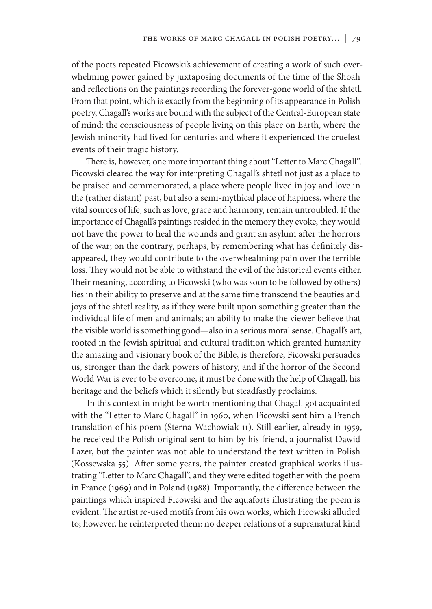of the poets repeated Ficowski's achievement of creating a work of such overwhelming power gained by juxtaposing documents of the time of the Shoah and reflections on the paintings recording the forever-gone world of the shtetl. From that point, which is exactly from the beginning of its appearance in Polish poetry, Chagall's works are bound with the subject of the Central-European state of mind: the consciousness of people living on this place on Earth, where the Jewish minority had lived for centuries and where it experienced the cruelest events of their tragic history.

There is, however, one more important thing about "Letter to Marc Chagall"*.*  Ficowski cleared the way for interpreting Chagall's shtetl not just as a place to be praised and commemorated, a place where people lived in joy and love in the (rather distant) past, but also a semi-mythical place of hapiness, where the vital sources of life, such as love, grace and harmony, remain untroubled. If the importance of Chagall's paintings resided in the memory they evoke, they would not have the power to heal the wounds and grant an asylum after the horrors of the war; on the contrary, perhaps, by remembering what has definitely disappeared, they would contribute to the overwhealming pain over the terrible loss. They would not be able to withstand the evil of the historical events either. Their meaning, according to Ficowski (who was soon to be followed by others) lies in their ability to preserve and at the same time transcend the beauties and joys of the shtetl reality, as if they were built upon something greater than the individual life of men and animals; an ability to make the viewer believe that the visible world is something good—also in a serious moral sense. Chagall's art, rooted in the Jewish spiritual and cultural tradition which granted humanity the amazing and visionary book of the Bible, is therefore, Ficowski persuades us, stronger than the dark powers of history, and if the horror of the Second World War is ever to be overcome, it must be done with the help of Chagall, his heritage and the beliefs which it silently but steadfastly proclaims.

In this context in might be worth mentioning that Chagall got acquainted with the "Letter to Marc Chagall" in 1960, when Ficowski sent him a French translation of his poem (Sterna-Wachowiak 11). Still earlier, already in 1959, he received the Polish original sent to him by his friend, a journalist Dawid Lazer, but the painter was not able to understand the text written in Polish (Kossewska 55). After some years, the painter created graphical works illustrating "Letter to Marc Chagall", and they were edited together with the poem in France (1969) and in Poland (1988). Importantly, the difference between the paintings which inspired Ficowski and the aquaforts illustrating the poem is evident. The artist re-used motifs from his own works, which Ficowski alluded to; however, he reinterpreted them: no deeper relations of a supranatural kind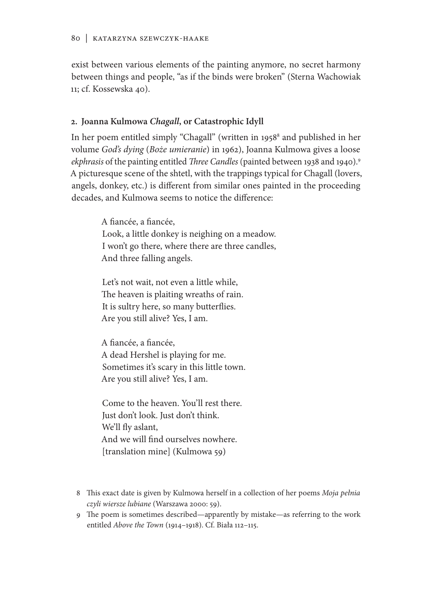exist between various elements of the painting anymore, no secret harmony between things and people, "as if the binds were broken" (Sterna Wachowiak 11; cf. Kossewska 40).

### **2. Joanna Kulmowa** *Chagall***, or Catastrophic Idyll**

In her poem entitled simply "Chagall" (written in 1958<sup>s</sup> and published in her volume *God's dying* (*Boże umieranie*) in 1962), Joanna Kulmowa gives a loose *ekphrasis* of the painting entitled *Three Candles* (painted between 1938 and 1940).9 A picturesque scene of the shtetl, with the trappings typical for Chagall (lovers, angels, donkey, etc.) is different from similar ones painted in the proceeding decades, and Kulmowa seems to notice the difference:

> A fiancée, a fiancée, Look, a little donkey is neighing on a meadow. I won't go there, where there are three candles, And three falling angels.

Let's not wait, not even a little while, The heaven is plaiting wreaths of rain. It is sultry here, so many butterflies. Are you still alive? Yes, I am.

A fiancée, a fiancée, A dead Hershel is playing for me. Sometimes it's scary in this little town. Are you still alive? Yes, I am.

Come to the heaven. You'll rest there. Just don't look. Just don't think. We'll fly aslant, And we will find ourselves nowhere. [translation mine] (Kulmowa 59)

- 8 This exact date is given by Kulmowa herself in a collection of her poems *Moja pełnia czyli wiersze lubiane* (Warszawa 2000: 59).
- 9 The poem is sometimes described—apparently by mistake—as referring to the work entitled *Above the Town* (1914–1918). Cf. Biała 112–115.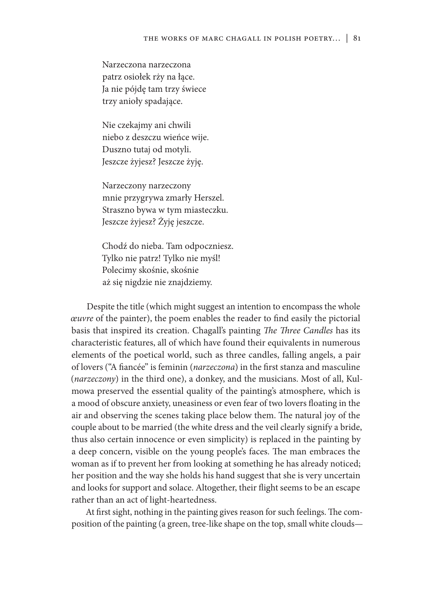Narzeczona narzeczona patrz osiołek rży na łące. Ja nie pójdę tam trzy świece trzy anioły spadające.

Nie czekajmy ani chwili niebo z deszczu wieńce wije. Duszno tutaj od motyli. Jeszcze żyjesz? Jeszcze żyję.

Narzeczony narzeczony mnie przygrywa zmarły Herszel. Straszno bywa w tym miasteczku. Jeszcze żyjesz? Żyję jeszcze.

Chodź do nieba. Tam odpoczniesz. Tylko nie patrz! Tylko nie myśl! Polecimy skośnie, skośnie aż się nigdzie nie znajdziemy.

Despite the title (which might suggest an intention to encompass the whole *œuvre* of the painter), the poem enables the reader to find easily the pictorial basis that inspired its creation. Chagall's painting *The Three Candles* has its characteristic features, all of which have found their equivalents in numerous elements of the poetical world, such as three candles, falling angels, a pair of lovers ("A fiancée" is feminin (*narzeczona*) in the first stanza and masculine (*narzeczony*) in the third one), a donkey, and the musicians. Most of all, Kulmowa preserved the essential quality of the painting's atmosphere, which is a mood of obscure anxiety, uneasiness or even fear of two lovers floating in the air and observing the scenes taking place below them. The natural joy of the couple about to be married (the white dress and the veil clearly signify a bride, thus also certain innocence or even simplicity) is replaced in the painting by a deep concern, visible on the young people's faces. The man embraces the woman as if to prevent her from looking at something he has already noticed; her position and the way she holds his hand suggest that she is very uncertain and looks for support and solace. Altogether, their flight seems to be an escape rather than an act of light-heartedness.

At first sight, nothing in the painting gives reason for such feelings. The composition of the painting (a green, tree-like shape on the top, small white clouds—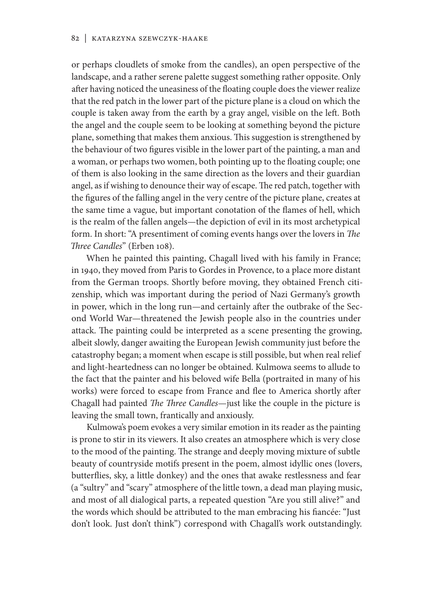or perhaps cloudlets of smoke from the candles), an open perspective of the landscape, and a rather serene palette suggest something rather opposite. Only after having noticed the uneasiness of the floating couple does the viewer realize that the red patch in the lower part of the picture plane is a cloud on which the couple is taken away from the earth by a gray angel, visible on the left. Both the angel and the couple seem to be looking at something beyond the picture plane, something that makes them anxious. This suggestion is strengthened by the behaviour of two figures visible in the lower part of the painting, a man and a woman, or perhaps two women, both pointing up to the floating couple; one of them is also looking in the same direction as the lovers and their guardian angel, as if wishing to denounce their way of escape. The red patch, together with the figures of the falling angel in the very centre of the picture plane, creates at the same time a vague, but important conotation of the flames of hell, which is the realm of the fallen angels—the depiction of evil in its most archetypical form. In short: "A presentiment of coming events hangs over the lovers in *The Three Candles*" (Erben 108).

When he painted this painting, Chagall lived with his family in France; in 1940, they moved from Paris to Gordes in Provence, to a place more distant from the German troops. Shortly before moving, they obtained French citizenship, which was important during the period of Nazi Germany's growth in power, which in the long run—and certainly after the outbrake of the Second World War—threatened the Jewish people also in the countries under attack. The painting could be interpreted as a scene presenting the growing, albeit slowly, danger awaiting the European Jewish community just before the catastrophy began; a moment when escape is still possible, but when real relief and light-heartedness can no longer be obtained. Kulmowa seems to allude to the fact that the painter and his beloved wife Bella (portraited in many of his works) were forced to escape from France and flee to America shortly after Chagall had painted *The Three Candles*—just like the couple in the picture is leaving the small town, frantically and anxiously.

Kulmowa's poem evokes a very similar emotion in its reader as the painting is prone to stir in its viewers. It also creates an atmosphere which is very close to the mood of the painting. The strange and deeply moving mixture of subtle beauty of countryside motifs present in the poem, almost idyllic ones (lovers, butterflies, sky, a little donkey) and the ones that awake restlessness and fear (a "sultry" and "scary" atmosphere of the little town, a dead man playing music, and most of all dialogical parts, a repeated question "Are you still alive?" and the words which should be attributed to the man embracing his fiancée: "Just don't look. Just don't think") correspond with Chagall's work outstandingly.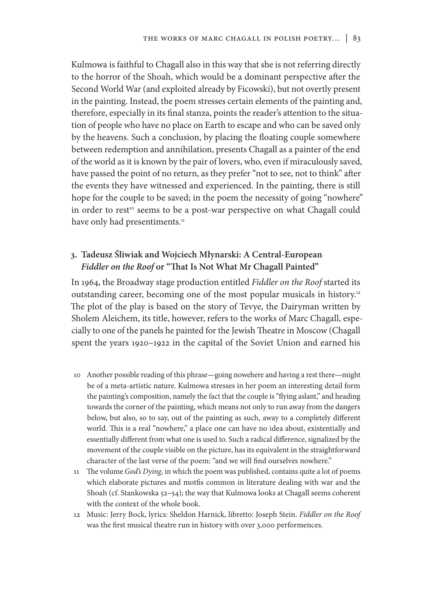Kulmowa is faithful to Chagall also in this way that she is not referring directly to the horror of the Shoah, which would be a dominant perspective after the Second World War (and exploited already by Ficowski), but not overtly present in the painting. Instead, the poem stresses certain elements of the painting and, therefore, especially in its final stanza, points the reader's attention to the situation of people who have no place on Earth to escape and who can be saved only by the heavens. Such a conclusion, by placing the floating couple somewhere between redemption and annihilation, presents Chagall as a painter of the end of the world as it is known by the pair of lovers, who, even if miraculously saved, have passed the point of no return, as they prefer "not to see, not to think" after the events they have witnessed and experienced. In the painting, there is still hope for the couple to be saved; in the poem the necessity of going "nowhere" in order to rest<sup>10</sup> seems to be a post-war perspective on what Chagall could have only had presentiments.<sup>11</sup>

## **3. Tadeusz Śliwiak and Wojciech Młynarski: A Central-European**  *Fiddler on the Roof* **or "That Is Not What Mr Chagall Painted"**

In 1964, the Broadway stage production entitled *Fiddler on the Roof* started its outstanding career, becoming one of the most popular musicals in history.<sup>12</sup> The plot of the play is based on the story of Tevye, the Dairyman written by Sholem Aleichem, its title, however, refers to the works of Marc Chagall, especially to one of the panels he painted for the Jewish Theatre in Moscow (Chagall spent the years 1920–1922 in the capital of the Soviet Union and earned his

- 10 Another possible reading of this phrase—going nowehere and having a rest there—might be of a meta-artistic nature. Kulmowa stresses in her poem an interesting detail form the painting's composition, namely the fact that the couple is "flying aslant," and heading towards the corner of the painting, which means not only to run away from the dangers below, but also, so to say, out of the painting as such, away to a completely different world. This is a real "nowhere," a place one can have no idea about, existentially and essentially different from what one is used to. Such a radical difference, signalized by the movement of the couple visible on the picture, has its equivalent in the straightforward character of the last verse of the poem: "and we will find ourselves nowhere."
- 11 The volume *God's Dying*, in which the poem was published, contains quite a lot of poems which elaborate pictures and motfis common in literature dealing with war and the Shoah (cf. Stankowska 52–54); the way that Kulmowa looks at Chagall seems coherent with the context of the whole book.
- 12 Music: Jerry Bock, lyrics: Sheldon Harnick, libretto: Joseph Stein. *Fiddler on the Roof*  was the first musical theatre run in history with over 3,000 performences.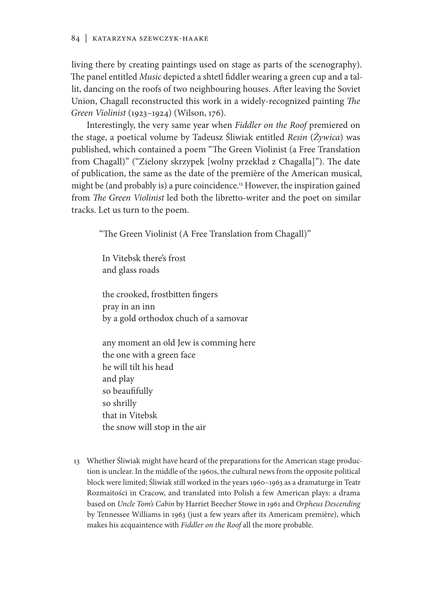living there by creating paintings used on stage as parts of the scenography). The panel entitled *Music* depicted a shtetl fiddler wearing a green cup and a tallit, dancing on the roofs of two neighbouring houses. After leaving the Soviet Union, Chagall reconstructed this work in a widely-recognized painting *The Green Violinist* (1923–1924) (Wilson, 176).

Interestingly, the very same year when *Fiddler on the Roof* premiered on the stage, a poetical volume by Tadeusz Śliwiak entitled *Resin* (*Żywica*) was published, which contained a poem "The Green Violinist (a Free Translation from Chagall)" ("Zielony skrzypek [wolny przekład z Chagalla]"). The date of publication, the same as the date of the première of the American musical, might be (and probably is) a pure coincidence.<sup>13</sup> However, the inspiration gained from *The Green Violinist* led both the libretto-writer and the poet on similar tracks. Let us turn to the poem.

"The Green Violinist (A Free Translation from Chagall)"

In Vitebsk there's frost and glass roads

the crooked, frostbitten fingers pray in an inn by a gold orthodox chuch of a samovar

any moment an old Jew is comming here the one with a green face he will tilt his head and play so beaufifully so shrilly that in Vitebsk the snow will stop in the air

13 Whether Śliwiak might have heard of the preparations for the American stage production is unclear. In the middle of the 1960s, the cultural news from the opposite political block were limited; Śliwiak still worked in the years 1960–1963 as a dramaturge in Teatr Rozmaitości in Cracow, and translated into Polish a few American plays: a drama based on *Uncle Tom's Cabin* by Harriet Beecher Stowe in 1961 and *Orpheus Descending*  by Tennessee Williams in 1963 (just a few years after its Americam première), which makes his acquaintence with *Fiddler on the Roof* all the more probable.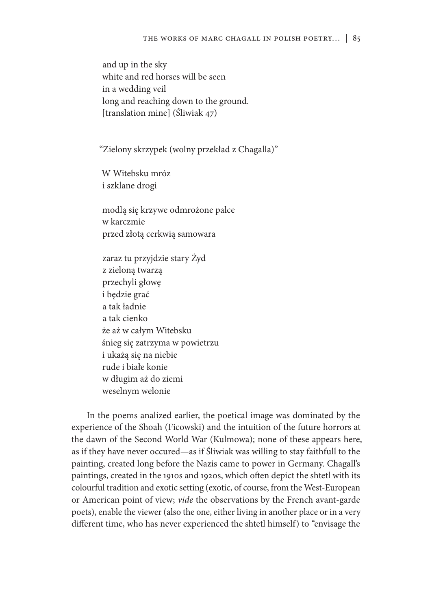and up in the sky white and red horses will be seen in a wedding veil long and reaching down to the ground. [translation mine] (Śliwiak 47)

"Zielony skrzypek (wolny przekład z Chagalla)"

W Witebsku mróz i szklane drogi

modlą się krzywe odmrożone palce w karczmie przed złotą cerkwią samowara

zaraz tu przyjdzie stary Żyd z zieloną twarzą przechyli głowę i będzie grać a tak ładnie a tak cienko że aż w całym Witebsku śnieg się zatrzyma w powietrzu i ukażą się na niebie rude i białe konie w długim aż do ziemi weselnym welonie

In the poems analized earlier, the poetical image was dominated by the experience of the Shoah (Ficowski) and the intuition of the future horrors at the dawn of the Second World War (Kulmowa); none of these appears here, as if they have never occured—as if Śliwiak was willing to stay faithfull to the painting, created long before the Nazis came to power in Germany. Chagall's paintings, created in the 1910s and 1920s, which often depict the shtetl with its colourful tradition and exotic setting (exotic, of course, from the West-European or American point of view; *vide* the observations by the French avant-garde poets), enable the viewer (also the one, either living in another place or in a very different time, who has never experienced the shtetl himself) to "envisage the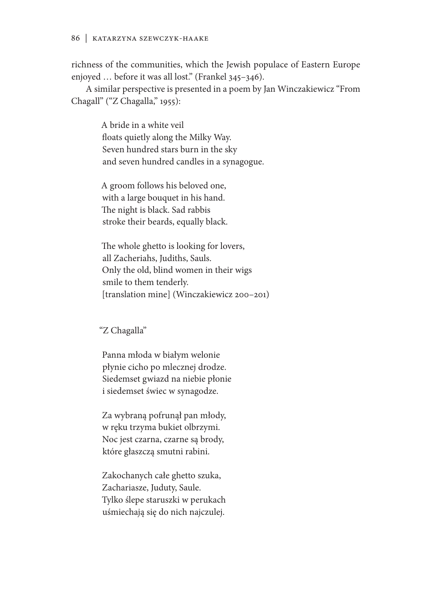richness of the communities, which the Jewish populace of Eastern Europe enjoyed … before it was all lost." (Frankel 345–346).

A similar perspective is presented in a poem by Jan Winczakiewicz "From Chagall" ("Z Chagalla," 1955):

> A bride in a white veil floats quietly along the Milky Way. Seven hundred stars burn in the sky and seven hundred candles in a synagogue.

A groom follows his beloved one, with a large bouquet in his hand. The night is black. Sad rabbis stroke their beards, equally black.

The whole ghetto is looking for lovers, all Zacheriahs, Judiths, Sauls. Only the old, blind women in their wigs smile to them tenderly. [translation mine] (Winczakiewicz 200–201)

"Z Chagalla"

Panna młoda w białym welonie płynie cicho po mlecznej drodze. Siedemset gwiazd na niebie płonie i siedemset świec w synagodze.

Za wybraną pofrunął pan młody, w ręku trzyma bukiet olbrzymi. Noc jest czarna, czarne są brody, które głaszczą smutni rabini.

Zakochanych całe ghetto szuka, Zachariasze, Juduty, Saule. Tylko ślepe staruszki w perukach uśmiechają się do nich najczulej.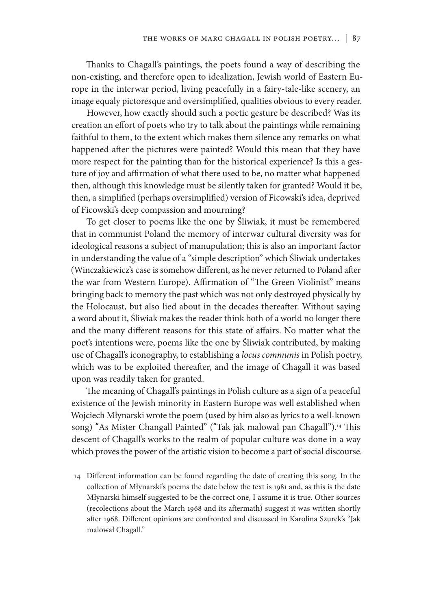Thanks to Chagall's paintings, the poets found a way of describing the non-existing, and therefore open to idealization, Jewish world of Eastern Europe in the interwar period, living peacefully in a fairy-tale-like scenery, an image equaly pictoresque and oversimplified, qualities obvious to every reader.

However, how exactly should such a poetic gesture be described? Was its creation an effort of poets who try to talk about the paintings while remaining faithful to them, to the extent which makes them silence any remarks on what happened after the pictures were painted? Would this mean that they have more respect for the painting than for the historical experience? Is this a gesture of joy and affirmation of what there used to be, no matter what happened then, although this knowledge must be silently taken for granted? Would it be, then, a simplified (perhaps oversimplified) version of Ficowski's idea, deprived of Ficowski's deep compassion and mourning?

To get closer to poems like the one by Śliwiak, it must be remembered that in communist Poland the memory of interwar cultural diversity was for ideological reasons a subject of manupulation; this is also an important factor in understanding the value of a "simple description" which Śliwiak undertakes (Winczakiewicz's case is somehow different, as he never returned to Poland after the war from Western Europe). Affirmation of "The Green Violinist" means bringing back to memory the past which was not only destroyed physically by the Holocaust, but also lied about in the decades thereafter. Without saying a word about it, Śliwiak makes the reader think both of a world no longer there and the many different reasons for this state of affairs. No matter what the poet's intentions were, poems like the one by Śliwiak contributed, by making use of Chagall's iconography, to establishing a *locus communis* in Polish poetry, which was to be exploited thereafter, and the image of Chagall it was based upon was readily taken for granted.

The meaning of Chagall's paintings in Polish culture as a sign of a peaceful existence of the Jewish minority in Eastern Europe was well established when Wojciech Młynarski wrote the poem (used by him also as lyrics to a well-known song) "As Mister Changall Painted" ("Tak jak malował pan Chagall").<sup>14</sup> This descent of Chagall's works to the realm of popular culture was done in a way which proves the power of the artistic vision to become a part of social discourse.

14 Different information can be found regarding the date of creating this song. In the collection of Młynarski's poems the date below the text is 1981 and, as this is the date Młynarski himself suggested to be the correct one, I assume it is true. Other sources (recolections about the March 1968 and its aftermath) suggest it was written shortly after 1968. Different opinions are confronted and discussed in Karolina Szurek's "Jak malował Chagall."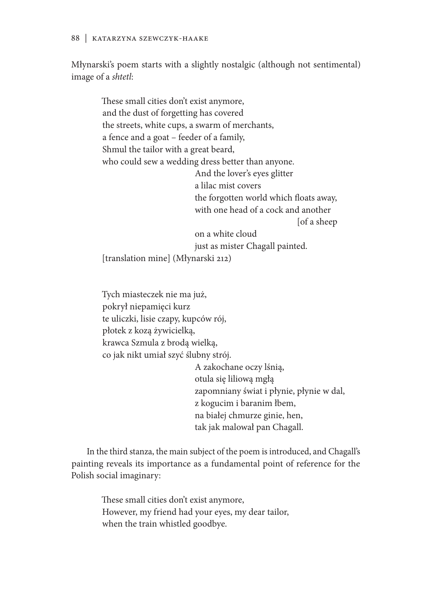#### 88 | Katarzyna Szewczyk-Haake

Młynarski's poem starts with a slightly nostalgic (although not sentimental) image of a *shtetl*:

> These small cities don't exist anymore, and the dust of forgetting has covered the streets, white cups, a swarm of merchants, a fence and a goat – feeder of a family, Shmul the tailor with a great beard, who could sew a wedding dress better than anyone. And the lover's eyes glitter a lilac mist covers the forgotten world which floats away, with one head of a cock and another [of a sheep on a white cloud just as mister Chagall painted. [translation mine] (Młynarski 212)

Tych miasteczek nie ma już, pokrył niepamięci kurz te uliczki, lisie czapy, kupców rój, płotek z kozą żywicielką, krawca Szmula z brodą wielką, co jak nikt umiał szyć ślubny strój. A zakochane oczy lśnią,

otula się liliową mgłą zapomniany świat i płynie, płynie w dal, z kogucim i baranim łbem, na białej chmurze ginie, hen, tak jak malował pan Chagall.

In the third stanza, the main subject of the poem is introduced, and Chagall's painting reveals its importance as a fundamental point of reference for the Polish social imaginary:

> These small cities don't exist anymore, However, my friend had your eyes, my dear tailor, when the train whistled goodbye.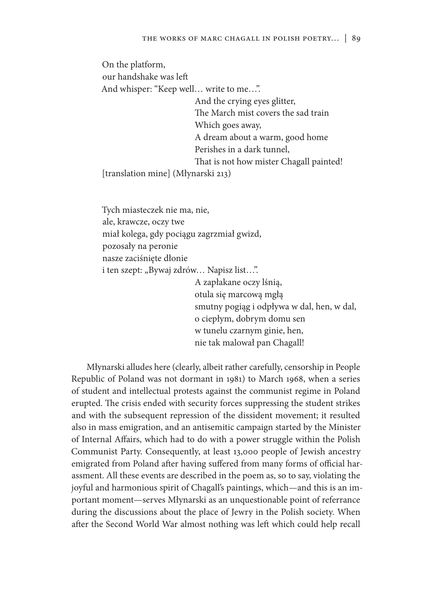On the platform, our handshake was left And whisper: "Keep well… write to me…". And the crying eyes glitter, The March mist covers the sad train Which goes away, A dream about a warm, good home Perishes in a dark tunnel, That is not how mister Chagall painted! [translation mine] (Młynarski 213)

Tych miasteczek nie ma, nie, ale, krawcze, oczy twe miał kolega, gdy pociągu zagrzmiał gwizd, pozosały na peronie nasze zaciśnięte dłonie i ten szept: "Bywaj zdrów... Napisz list...". A zapłakane oczy lśnią, otula się marcową mgłą smutny pogiąg i odpływa w dal, hen, w dal, o ciepłym, dobrym domu sen w tunelu czarnym ginie, hen, nie tak malował pan Chagall!

Młynarski alludes here (clearly, albeit rather carefully, censorship in People Republic of Poland was not dormant in 1981) to March 1968, when a series of student and intellectual protests against the communist regime in Poland erupted. The crisis ended with security forces suppressing the student strikes and with the subsequent repression of the dissident movement; it resulted also in mass emigration, and an antisemitic campaign started by the Minister of Internal Affairs, which had to do with a power struggle within the Polish Communist Party. Consequently, at least 13,000 people of Jewish ancestry emigrated from Poland after having suffered from many forms of official harassment. All these events are described in the poem as, so to say, violating the joyful and harmonious spirit of Chagall's paintings, which—and this is an important moment—serves Młynarski as an unquestionable point of referrance during the discussions about the place of Jewry in the Polish society. When after the Second World War almost nothing was left which could help recall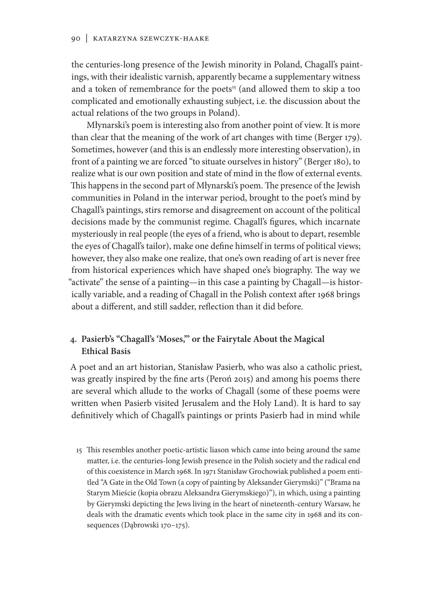the centuries-long presence of the Jewish minority in Poland, Chagall's paintings, with their idealistic varnish, apparently became a supplementary witness and a token of remembrance for the poets<sup>15</sup> (and allowed them to skip a too complicated and emotionally exhausting subject, i.e. the discussion about the actual relations of the two groups in Poland).

Młynarski's poem is interesting also from another point of view. It is more than clear that the meaning of the work of art changes with time (Berger 179). Sometimes, however (and this is an endlessly more interesting observation), in front of a painting we are forced "to situate ourselves in history" (Berger 180), to realize what is our own position and state of mind in the flow of external events. This happens in the second part of Młynarski's poem. The presence of the Jewish communities in Poland in the interwar period, brought to the poet's mind by Chagall's paintings, stirs remorse and disagreement on account of the political decisions made by the communist regime. Chagall's figures, which incarnate mysteriously in real people (the eyes of a friend, who is about to depart, resemble the eyes of Chagall's tailor), make one define himself in terms of political views; however, they also make one realize, that one's own reading of art is never free from historical experiences which have shaped one's biography. The way we "activate" the sense of a painting—in this case a painting by Chagall—is historically variable, and a reading of Chagall in the Polish context after 1968 brings about a different, and still sadder, reflection than it did before.

### **4. Pasierb's "Chagall's 'Moses,'" or the Fairytale About the Magical Ethical Basis**

A poet and an art historian, Stanisław Pasierb, who was also a catholic priest, was greatly inspired by the fine arts (Peroń 2015) and among his poems there are several which allude to the works of Chagall (some of these poems were written when Pasierb visited Jerusalem and the Holy Land). It is hard to say definitively which of Chagall's paintings or prints Pasierb had in mind while

15 This resembles another poetic-artistic liason which came into being around the same matter, i.e. the centuries-long Jewish presence in the Polish society and the radical end of this coexistence in March 1968. In 1971 Stanisław Grochowiak published a poem entitled "A Gate in the Old Town (a copy of painting by Aleksander Gierymski)" ("Brama na Starym Mieście (kopia obrazu Aleksandra Gierymskiego)"), in which, using a painting by Gierymski depicting the Jews living in the heart of nineteenth-century Warsaw, he deals with the dramatic events which took place in the same city in 1968 and its consequences (Dąbrowski 170–175).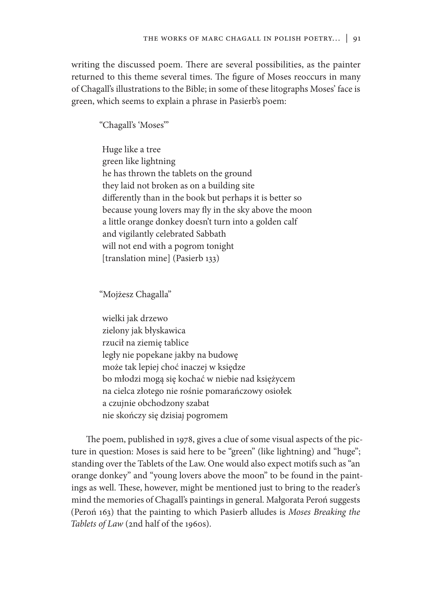writing the discussed poem. There are several possibilities, as the painter returned to this theme several times. The figure of Moses reoccurs in many of Chagall's illustrations to the Bible; in some of these litographs Moses' face is green, which seems to explain a phrase in Pasierb's poem:

"Chagall's 'Moses'"

Huge like a tree green like lightning he has thrown the tablets on the ground they laid not broken as on a building site differently than in the book but perhaps it is better so because young lovers may fly in the sky above the moon a little orange donkey doesn't turn into a golden calf and vigilantly celebrated Sabbath will not end with a pogrom tonight [translation mine] (Pasierb 133)

"Mojżesz Chagalla"

wielki jak drzewo zielony jak błyskawica rzucił na ziemię tablice legły nie popekane jakby na budowę może tak lepiej choć inaczej w księdze bo młodzi mogą się kochać w niebie nad księżycem na cielca złotego nie rośnie pomarańczowy osiołek a czujnie obchodzony szabat nie skończy się dzisiaj pogromem

The poem, published in 1978, gives a clue of some visual aspects of the picture in question: Moses is said here to be "green" (like lightning) and "huge"; standing over the Tablets of the Law. One would also expect motifs such as "an orange donkey" and "young lovers above the moon" to be found in the paintings as well. These, however, might be mentioned just to bring to the reader's mind the memories of Chagall's paintings in general. Małgorata Peroń suggests (Peroń 163) that the painting to which Pasierb alludes is *Moses Breaking the Tablets of Law* (2nd half of the 1960s).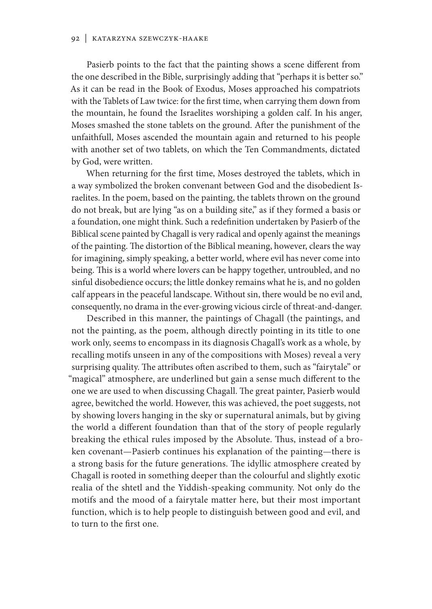Pasierb points to the fact that the painting shows a scene different from the one described in the Bible, surprisingly adding that "perhaps it is better so." As it can be read in the Book of Exodus, Moses approached his compatriots with the Tablets of Law twice: for the first time, when carrying them down from the mountain, he found the Israelites worshiping a golden calf. In his anger, Moses smashed the stone tablets on the ground. After the punishment of the unfaithfull, Moses ascended the mountain again and returned to his people with another set of two tablets, on which the Ten Commandments, dictated by God, were written.

When returning for the first time, Moses destroyed the tablets, which in a way symbolized the broken convenant between God and the disobedient Israelites. In the poem, based on the painting, the tablets thrown on the ground do not break, but are lying "as on a building site," as if they formed a basis or a foundation, one might think. Such a redefinition undertaken by Pasierb of the Biblical scene painted by Chagall is very radical and openly against the meanings of the painting. The distortion of the Biblical meaning, however, clears the way for imagining, simply speaking, a better world, where evil has never come into being. This is a world where lovers can be happy together, untroubled, and no sinful disobedience occurs; the little donkey remains what he is, and no golden calf appears in the peaceful landscape. Without sin, there would be no evil and, consequently, no drama in the ever-growing vicious circle of threat-and-danger.

Described in this manner, the paintings of Chagall (the paintings, and not the painting, as the poem, although directly pointing in its title to one work only, seems to encompass in its diagnosis Chagall's work as a whole, by recalling motifs unseen in any of the compositions with Moses) reveal a very surprising quality. The attributes often ascribed to them, such as "fairytale" or "magical" atmosphere, are underlined but gain a sense much different to the one we are used to when discussing Chagall. The great painter, Pasierb would agree, bewitched the world. However, this was achieved, the poet suggests, not by showing lovers hanging in the sky or supernatural animals, but by giving the world a different foundation than that of the story of people regularly breaking the ethical rules imposed by the Absolute. Thus, instead of a broken covenant—Pasierb continues his explanation of the painting—there is a strong basis for the future generations. The idyllic atmosphere created by Chagall is rooted in something deeper than the colourful and slightly exotic realia of the shtetl and the Yiddish-speaking community. Not only do the motifs and the mood of a fairytale matter here, but their most important function, which is to help people to distinguish between good and evil, and to turn to the first one.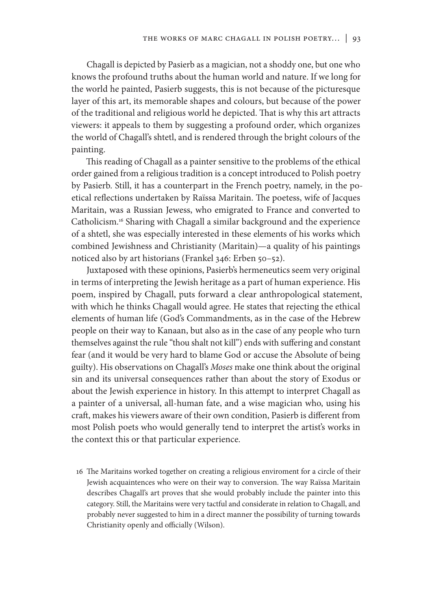Chagall is depicted by Pasierb as a magician, not a shoddy one, but one who knows the profound truths about the human world and nature. If we long for the world he painted, Pasierb suggests, this is not because of the picturesque layer of this art, its memorable shapes and colours, but because of the power of the traditional and religious world he depicted. That is why this art attracts viewers: it appeals to them by suggesting a profound order, which organizes the world of Chagall's shtetl, and is rendered through the bright colours of the painting.

This reading of Chagall as a painter sensitive to the problems of the ethical order gained from a religious tradition is a concept introduced to Polish poetry by Pasierb. Still, it has a counterpart in the French poetry, namely, in the poetical reflections undertaken by Raïssa Maritain. The poetess, wife of Jacques Maritain, was a Russian Jewess, who emigrated to France and converted to Catholicism.<sup>16</sup> Sharing with Chagall a similar background and the experience of a shtetl, she was especially interested in these elements of his works which combined Jewishness and Christianity (Maritain)—a quality of his paintings noticed also by art historians (Frankel 346: Erben 50–52).

Juxtaposed with these opinions, Pasierb's hermeneutics seem very original in terms of interpreting the Jewish heritage as a part of human experience. His poem, inspired by Chagall, puts forward a clear anthropological statement, with which he thinks Chagall would agree. He states that rejecting the ethical elements of human life (God's Commandments, as in the case of the Hebrew people on their way to Kanaan, but also as in the case of any people who turn themselves against the rule "thou shalt not kill") ends with suffering and constant fear (and it would be very hard to blame God or accuse the Absolute of being guilty). His observations on Chagall's *Moses* make one think about the original sin and its universal consequences rather than about the story of Exodus or about the Jewish experience in history. In this attempt to interpret Chagall as a painter of a universal, all-human fate, and a wise magician who, using his craft, makes his viewers aware of their own condition, Pasierb is different from most Polish poets who would generally tend to interpret the artist's works in the context this or that particular experience.

16 The Maritains worked together on creating a religious enviroment for a circle of their Jewish acquaintences who were on their way to conversion. The way Raïssa Maritain describes Chagall's art proves that she would probably include the painter into this category. Still, the Maritains were very tactful and considerate in relation to Chagall, and probably never suggested to him in a direct manner the possibility of turning towards Christianity openly and officially (Wilson).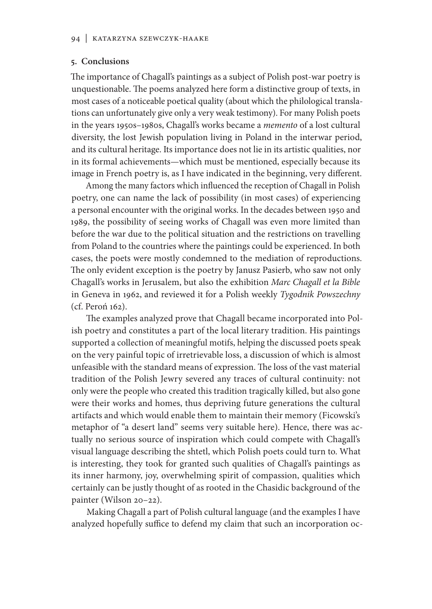#### **5. Conclusions**

The importance of Chagall's paintings as a subject of Polish post-war poetry is unquestionable. The poems analyzed here form a distinctive group of texts, in most cases of a noticeable poetical quality (about which the philological translations can unfortunately give only a very weak testimony). For many Polish poets in the years 1950s–1980s, Chagall's works became a *memento* of a lost cultural diversity, the lost Jewish population living in Poland in the interwar period, and its cultural heritage. Its importance does not lie in its artistic qualities, nor in its formal achievements—which must be mentioned, especially because its image in French poetry is, as I have indicated in the beginning, very different.

Among the many factors which influenced the reception of Chagall in Polish poetry, one can name the lack of possibility (in most cases) of experiencing a personal encounter with the original works. In the decades between 1950 and 1989, the possibility of seeing works of Chagall was even more limited than before the war due to the political situation and the restrictions on travelling from Poland to the countries where the paintings could be experienced. In both cases, the poets were mostly condemned to the mediation of reproductions. The only evident exception is the poetry by Janusz Pasierb, who saw not only Chagall's works in Jerusalem, but also the exhibition *Marc Chagall et la Bible*  in Geneva in 1962, and reviewed it for a Polish weekly *Tygodnik Powszechny*  (cf. Peroń 162).

The examples analyzed prove that Chagall became incorporated into Polish poetry and constitutes a part of the local literary tradition. His paintings supported a collection of meaningful motifs, helping the discussed poets speak on the very painful topic of irretrievable loss, a discussion of which is almost unfeasible with the standard means of expression. The loss of the vast material tradition of the Polish Jewry severed any traces of cultural continuity: not only were the people who created this tradition tragically killed, but also gone were their works and homes, thus depriving future generations the cultural artifacts and which would enable them to maintain their memory (Ficowski's metaphor of "a desert land" seems very suitable here). Hence, there was actually no serious source of inspiration which could compete with Chagall's visual language describing the shtetl, which Polish poets could turn to. What is interesting, they took for granted such qualities of Chagall's paintings as its inner harmony, joy, overwhelming spirit of compassion, qualities which certainly can be justly thought of as rooted in the Chasidic background of the painter (Wilson 20–22).

Making Chagall a part of Polish cultural language (and the examples I have analyzed hopefully suffice to defend my claim that such an incorporation oc-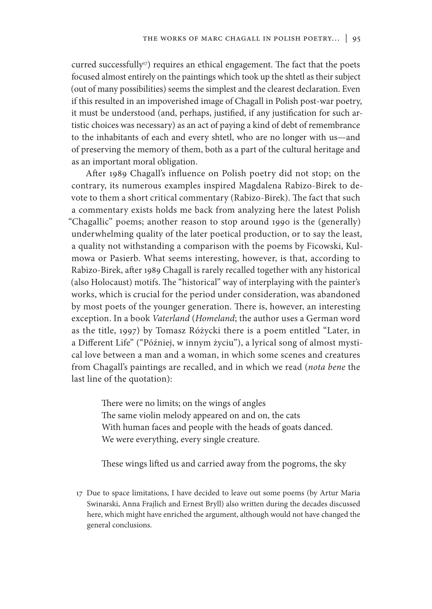curred successfully<sup>17</sup>) requires an ethical engagement. The fact that the poets focused almost entirely on the paintings which took up the shtetl as their subject (out of many possibilities) seems the simplest and the clearest declaration. Even if this resulted in an impoverished image of Chagall in Polish post-war poetry, it must be understood (and, perhaps, justified, if any justification for such artistic choices was necessary) as an act of paying a kind of debt of remembrance to the inhabitants of each and every shtetl, who are no longer with us—and of preserving the memory of them, both as a part of the cultural heritage and as an important moral obligation.

After 1989 Chagall's influence on Polish poetry did not stop; on the contrary, its numerous examples inspired Magdalena Rabizo-Birek to devote to them a short critical commentary (Rabizo-Birek). The fact that such a commentary exists holds me back from analyzing here the latest Polish "Chagallic" poems; another reason to stop around 1990 is the (generally) underwhelming quality of the later poetical production, or to say the least, a quality not withstanding a comparison with the poems by Ficowski, Kulmowa or Pasierb. What seems interesting, however, is that, according to Rabizo-Birek, after 1989 Chagall is rarely recalled together with any historical (also Holocaust) motifs. The "historical" way of interplaying with the painter's works, which is crucial for the period under consideration, was abandoned by most poets of the younger generation. There is, however, an interesting exception. In a book *Vaterland* (*Homeland*; the author uses a German word as the title, 1997) by Tomasz Różycki there is a poem entitled "Later, in a Different Life" ("Później, w innym życiu"), a lyrical song of almost mystical love between a man and a woman, in which some scenes and creatures from Chagall's paintings are recalled, and in which we read (*nota bene* the last line of the quotation):

> There were no limits; on the wings of angles The same violin melody appeared on and on, the cats With human faces and people with the heads of goats danced. We were everything, every single creature.

These wings lifted us and carried away from the pogroms, the sky

17 Due to space limitations, I have decided to leave out some poems (by Artur Maria Swinarski, Anna Frajlich and Ernest Bryll) also written during the decades discussed here, which might have enriched the argument, although would not have changed the general conclusions.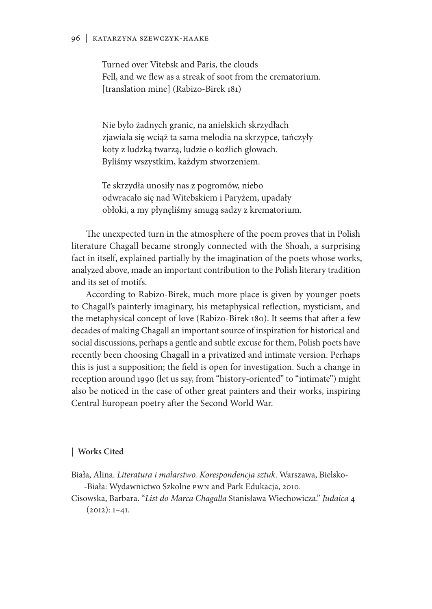Turned over Vitebsk and Paris, the clouds Fell, and we flew as a streak of soot from the crematorium. [translation mine] (Rabizo-Birek 181)

Nie było żadnych granic, na anielskich skrzydłach zjawiała się wciąż ta sama melodia na skrzypce, tańczyły koty z ludzką twarzą, ludzie o koźlich głowach. Byliśmy wszystkim, każdym stworzeniem.

Te skrzydła unosiły nas z pogromów, niebo odwracało się nad Witebskiem i Paryżem, upadały obłoki, a my płynęliśmy smugą sadzy z krematorium.

The unexpected turn in the atmosphere of the poem proves that in Polish literature Chagall became strongly connected with the Shoah, a surprising fact in itself, explained partially by the imagination of the poets whose works, analyzed above, made an important contribution to the Polish literary tradition and its set of motifs.

According to Rabizo-Birek, much more place is given by younger poets to Chagall's painterly imaginary, his metaphysical reflection, mysticism, and the metaphysical concept of love (Rabizo-Birek 180). It seems that after a few decades of making Chagall an important source of inspiration for historical and social discussions, perhaps a gentle and subtle excuse for them, Polish poets have recently been choosing Chagall in a privatized and intimate version. Perhaps this is just a supposition; the field is open for investigation. Such a change in reception around 1990 (let us say, from "history-oriented" to "intimate") might also be noticed in the case of other great painters and their works, inspiring Central European poetry after the Second World War.

#### **| Works Cited**

Biała, Alina. *Literatura i malarstwo. Korespondencja sztuk*. Warszawa, Bielsko- -Biała: Wydawnictwo Szkolne PWN and Park Edukacja, 2010.

Cisowska, Barbara. "*List do Marca Chagalla* Stanisława Wiechowicza." *Judaica* 4  $(2012): 1-41.$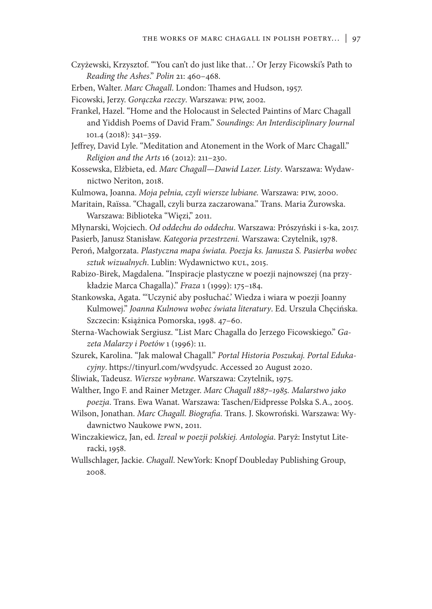- Czyżewski, Krzysztof. "'You can't do just like that…' Or Jerzy Ficowski's Path to *Reading the Ashes*." *Polin* 21: 460–468.
- Erben, Walter. *Marc Chagall*. London: Thames and Hudson, 1957.
- Ficowski, Jerzy. *Gorączka rzeczy*. Warszawa: PIW, 2002.
- Frankel, Hazel. "Home and the Holocaust in Selected Paintins of Marc Chagall and Yiddish Poems of David Fram." *Soundings: An Interdisciplinary Journal* 101.4 (2018): 341–359.
- Jeffrey, David Lyle. "Meditation and Atonement in the Work of Marc Chagall." *Religion and the Arts* 16 (2012): 211–230.
- Kossewska, Elżbieta, ed. *Marc Chagall—Dawid Lazer. Listy*. Warszawa: Wydawnictwo Neriton, 2018.
- Kulmowa, Joanna. *Moja pełnia, czyli wiersze lubiane.* Warszawa: PIW, 2000.
- Maritain, Raïssa. "Chagall, czyli burza zaczarowana." Trans. Maria Żurowska. Warszawa: Biblioteka "Więzi," 2011.
- Młynarski, Wojciech. *Od oddechu do oddechu*. Warszawa: Prószyński i s-ka, 2017.
- Pasierb, Janusz Stanisław. *Kategoria przestrzeni.* Warszawa: Czytelnik, 1978.
- Peroń, Małgorzata. *Plastyczna mapa świata. Poezja ks. Janusza S. Pasierba wobec sztuk wizualnych*. Lublin: Wydawnictwo KUL, 2015.
- Rabizo-Birek, Magdalena. "Inspiracje plastyczne w poezji najnowszej (na przykładzie Marca Chagalla)." *Fraza* 1 (1999): 175–184.
- Stankowska, Agata. "'Uczynić aby posłuchać.' Wiedza i wiara w poezji Joanny Kulmowej." *Joanna Kulnowa wobec świata literatury*. Ed. Urszula Chęcińska. Szczecin: Książnica Pomorska, 1998. 47–60.
- Sterna-Wachowiak Sergiusz. "List Marc Chagalla do Jerzego Ficowskiego." *Gazeta Malarzy i Poetów* 1 (1996): 11.
- Szurek, Karolina. "Jak malował Chagall." *Portal Historia Poszukaj. Portal Edukacyjny*. https://tinyurl.com/wvd5yudc. Accessed 20 August 2020.
- Śliwiak, Tadeusz. *Wiersze wybrane*. Warszawa: Czytelnik, 1975.
- Walther, Ingo F. and Rainer Metzger. *Marc Chagall 1887–1985. Malarstwo jako poezja*. Trans. Ewa Wanat. Warszawa: Taschen/Eidpresse Polska S.A., 2005.
- Wilson, Jonathan. *Marc Chagall. Biografia.* Trans. J. Skowroński. Warszawa: Wydawnictwo Naukowe PWN, 2011.
- Winczakiewicz, Jan, ed. *Izreal w poezji polskiej. Antologia*. Paryż: Instytut Literacki, 1958.
- Wullschlager, Jackie. *Chagall*. NewYork: Knopf Doubleday Publishing Group, 2008.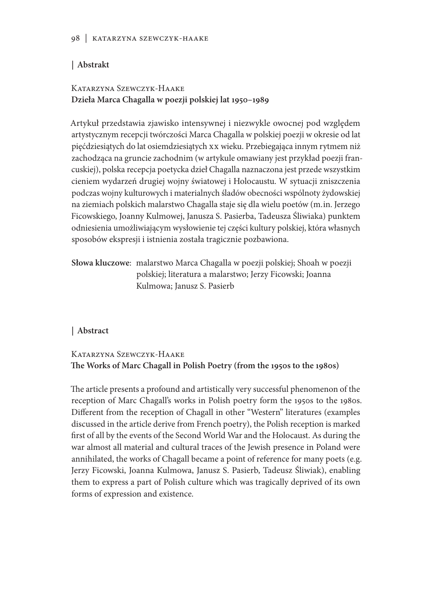### **| Abstrakt**

### Katarzyna Szewczyk-Haake **Dzieła Marca Chagalla w poezji polskiej lat 1950–1989**

Artykuł przedstawia zjawisko intensywnej i niezwykle owocnej pod względem artystycznym recepcji twórczości Marca Chagalla w polskiej poezji w okresie od lat pięćdziesiątych do lat osiemdziesiątych XX wieku. Przebiegająca innym rytmem niż zachodząca na gruncie zachodnim (w artykule omawiany jest przykład poezji francuskiej), polska recepcja poetycka dzieł Chagalla naznaczona jest przede wszystkim cieniem wydarzeń drugiej wojny światowej i Holocaustu. W sytuacji zniszczenia podczas wojny kulturowych i materialnych śladów obecności wspólnoty żydowskiej na ziemiach polskich malarstwo Chagalla staje się dla wielu poetów (m.in. Jerzego Ficowskiego, Joanny Kulmowej, Janusza S. Pasierba, Tadeusza Śliwiaka) punktem odniesienia umożliwiającym wysłowienie tej części kultury polskiej, która własnych sposobów ekspresji i istnienia została tragicznie pozbawiona.

**Słowa kluczowe**: malarstwo Marca Chagalla w poezji polskiej; Shoah w poezji polskiej; literatura a malarstwo; Jerzy Ficowski; Joanna Kulmowa; Janusz S. Pasierb

### **| Abstract**

Katarzyna Szewczyk-Haake **The Works of Marc Chagall in Polish Poetry (from the 1950s to the 1980s)**

The article presents a profound and artistically very successful phenomenon of the reception of Marc Chagall's works in Polish poetry form the 1950s to the 1980s. Different from the reception of Chagall in other "Western" literatures (examples discussed in the article derive from French poetry), the Polish reception is marked first of all by the events of the Second World War and the Holocaust. As during the war almost all material and cultural traces of the Jewish presence in Poland were annihilated, the works of Chagall became a point of reference for many poets (e.g. Jerzy Ficowski, Joanna Kulmowa, Janusz S. Pasierb, Tadeusz Śliwiak), enabling them to express a part of Polish culture which was tragically deprived of its own forms of expression and existence.